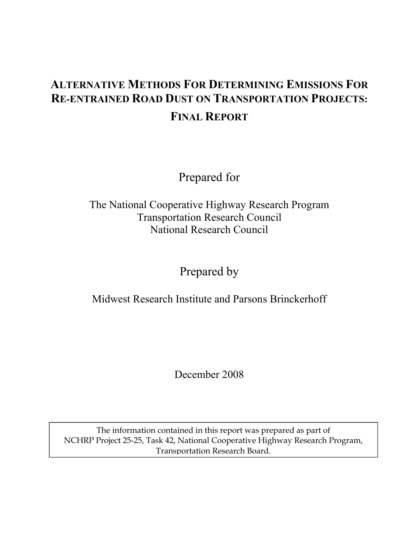# **ALTERNATIVE METHODS FOR DETERMINING EMISSIONS FOR RE-ENTRAINED ROAD DUST ON TRANSPORTATION PROJECTS: FINAL REPORT**

Prepared for

The National Cooperative Highway Research Program Transportation Research Council National Research Council

### Prepared by

Midwest Research Institute and Parsons Brinckerhoff

December 2008

The information contained in this report was prepared as part of NCHRP Project 25-25, Task 42, National Cooperative Highway Research Program, Transportation Research Board.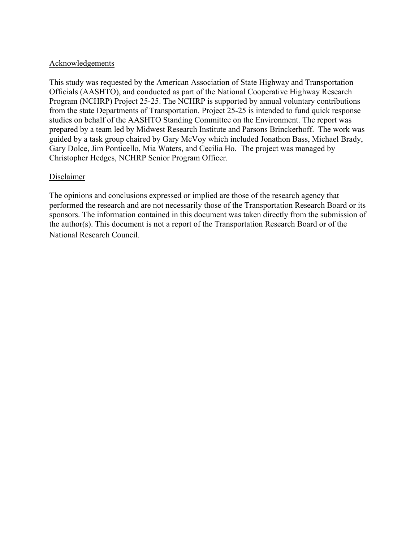#### Acknowledgements

This study was requested by the American Association of State Highway and Transportation Officials (AASHTO), and conducted as part of the National Cooperative Highway Research Program (NCHRP) Project 25-25. The NCHRP is supported by annual voluntary contributions from the state Departments of Transportation. Project 25-25 is intended to fund quick response studies on behalf of the AASHTO Standing Committee on the Environment. The report was prepared by a team led by Midwest Research Institute and Parsons Brinckerhoff. The work was guided by a task group chaired by Gary McVoy which included Jonathon Bass, Michael Brady, Gary Dolce, Jim Ponticello, Mia Waters, and Cecilia Ho. The project was managed by Christopher Hedges, NCHRP Senior Program Officer.

#### **Disclaimer**

The opinions and conclusions expressed or implied are those of the research agency that performed the research and are not necessarily those of the Transportation Research Board or its sponsors. The information contained in this document was taken directly from the submission of the author(s). This document is not a report of the Transportation Research Board or of the National Research Council.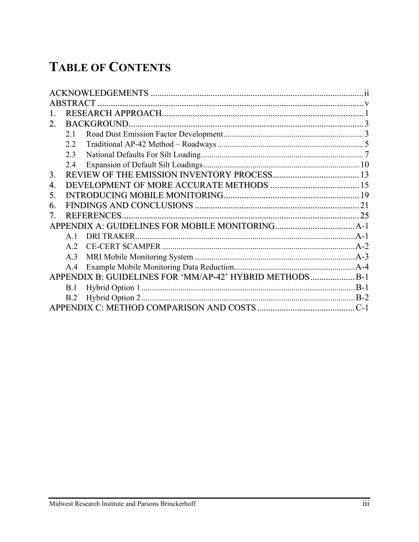# **TABLE OF CONTENTS**

|    | <b>ABSTRACT</b> |                                                         |  |
|----|-----------------|---------------------------------------------------------|--|
|    |                 |                                                         |  |
| 2. |                 | <b>BACKGROUND.</b>                                      |  |
|    | 2.1             |                                                         |  |
|    | 2.2             |                                                         |  |
|    | 2.3             |                                                         |  |
|    | 2.4             |                                                         |  |
| 3. |                 |                                                         |  |
| 4. |                 |                                                         |  |
| 5. |                 |                                                         |  |
| 6. |                 |                                                         |  |
| 7  |                 | <b>REFERENCES</b>                                       |  |
|    |                 |                                                         |  |
|    | $\mathbf{A}$ 1  | <b>DRI TRAKER.</b>                                      |  |
|    | $A$ 2           |                                                         |  |
|    | A.3             |                                                         |  |
|    | A.4             |                                                         |  |
|    |                 | APPENDIX B: GUIDELINES FOR 'MM/AP-42' HYBRID METHODSB-1 |  |
|    | B.1             |                                                         |  |
|    | B.2             |                                                         |  |
|    |                 |                                                         |  |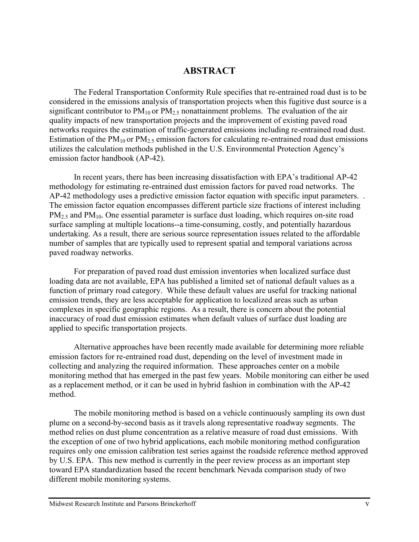### **ABSTRACT**

The Federal Transportation Conformity Rule specifies that re-entrained road dust is to be considered in the emissions analysis of transportation projects when this fugitive dust source is a significant contributor to  $PM_{10}$  or  $PM_{2.5}$  nonattainment problems. The evaluation of the air quality impacts of new transportation projects and the improvement of existing paved road networks requires the estimation of traffic-generated emissions including re-entrained road dust. Estimation of the  $PM_{10}$  or  $PM_{2.5}$  emission factors for calculating re-entrained road dust emissions utilizes the calculation methods published in the U.S. Environmental Protection Agency's emission factor handbook (AP-42).

In recent years, there has been increasing dissatisfaction with EPA's traditional AP-42 methodology for estimating re-entrained dust emission factors for paved road networks. The AP-42 methodology uses a predictive emission factor equation with specific input parameters. . The emission factor equation encompasses different particle size fractions of interest including  $PM<sub>2.5</sub>$  and  $PM<sub>10</sub>$ . One essential parameter is surface dust loading, which requires on-site road surface sampling at multiple locations--a time-consuming, costly, and potentially hazardous undertaking. As a result, there are serious source representation issues related to the affordable number of samples that are typically used to represent spatial and temporal variations across paved roadway networks.

For preparation of paved road dust emission inventories when localized surface dust loading data are not available, EPA has published a limited set of national default values as a function of primary road category. While these default values are useful for tracking national emission trends, they are less acceptable for application to localized areas such as urban complexes in specific geographic regions. As a result, there is concern about the potential inaccuracy of road dust emission estimates when default values of surface dust loading are applied to specific transportation projects.

Alternative approaches have been recently made available for determining more reliable emission factors for re-entrained road dust, depending on the level of investment made in collecting and analyzing the required information. These approaches center on a mobile monitoring method that has emerged in the past few years. Mobile monitoring can either be used as a replacement method, or it can be used in hybrid fashion in combination with the AP-42 method.

The mobile monitoring method is based on a vehicle continuously sampling its own dust plume on a second-by-second basis as it travels along representative roadway segments. The method relies on dust plume concentration as a relative measure of road dust emissions. With the exception of one of two hybrid applications, each mobile monitoring method configuration requires only one emission calibration test series against the roadside reference method approved by U.S. EPA. This new method is currently in the peer review process as an important step toward EPA standardization based the recent benchmark Nevada comparison study of two different mobile monitoring systems.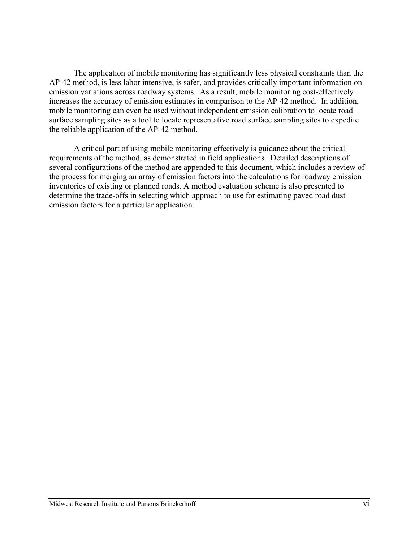The application of mobile monitoring has significantly less physical constraints than the AP-42 method, is less labor intensive, is safer, and provides critically important information on emission variations across roadway systems. As a result, mobile monitoring cost-effectively increases the accuracy of emission estimates in comparison to the AP-42 method. In addition, mobile monitoring can even be used without independent emission calibration to locate road surface sampling sites as a tool to locate representative road surface sampling sites to expedite the reliable application of the AP-42 method.

A critical part of using mobile monitoring effectively is guidance about the critical requirements of the method, as demonstrated in field applications. Detailed descriptions of several configurations of the method are appended to this document, which includes a review of the process for merging an array of emission factors into the calculations for roadway emission inventories of existing or planned roads. A method evaluation scheme is also presented to determine the trade-offs in selecting which approach to use for estimating paved road dust emission factors for a particular application.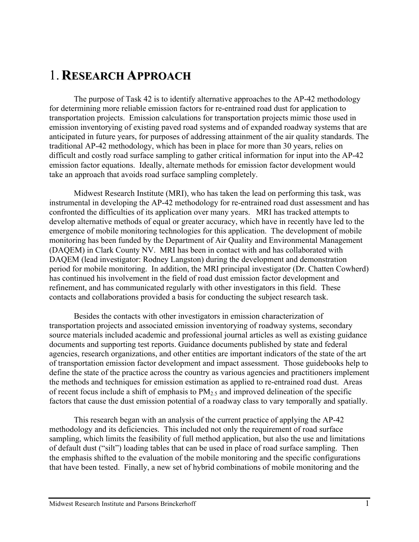# 1. **RESEARCH APPROACH**

The purpose of Task 42 is to identify alternative approaches to the AP-42 methodology for determining more reliable emission factors for re-entrained road dust for application to transportation projects. Emission calculations for transportation projects mimic those used in emission inventorying of existing paved road systems and of expanded roadway systems that are anticipated in future years, for purposes of addressing attainment of the air quality standards. The traditional AP-42 methodology, which has been in place for more than 30 years, relies on difficult and costly road surface sampling to gather critical information for input into the AP-42 emission factor equations. Ideally, alternate methods for emission factor development would take an approach that avoids road surface sampling completely.

Midwest Research Institute (MRI), who has taken the lead on performing this task, was instrumental in developing the AP-42 methodology for re-entrained road dust assessment and has confronted the difficulties of its application over many years. MRI has tracked attempts to develop alternative methods of equal or greater accuracy, which have in recently have led to the emergence of mobile monitoring technologies for this application. The development of mobile monitoring has been funded by the Department of Air Quality and Environmental Management (DAQEM) in Clark County NV. MRI has been in contact with and has collaborated with DAQEM (lead investigator: Rodney Langston) during the development and demonstration period for mobile monitoring. In addition, the MRI principal investigator (Dr. Chatten Cowherd) has continued his involvement in the field of road dust emission factor development and refinement, and has communicated regularly with other investigators in this field. These contacts and collaborations provided a basis for conducting the subject research task.

Besides the contacts with other investigators in emission characterization of transportation projects and associated emission inventorying of roadway systems, secondary source materials included academic and professional journal articles as well as existing guidance documents and supporting test reports. Guidance documents published by state and federal agencies, research organizations, and other entities are important indicators of the state of the art of transportation emission factor development and impact assessment. Those guidebooks help to define the state of the practice across the country as various agencies and practitioners implement the methods and techniques for emission estimation as applied to re-entrained road dust. Areas of recent focus include a shift of emphasis to  $PM_{2.5}$  and improved delineation of the specific factors that cause the dust emission potential of a roadway class to vary temporally and spatially.

This research began with an analysis of the current practice of applying the AP-42 methodology and its deficiencies. This included not only the requirement of road surface sampling, which limits the feasibility of full method application, but also the use and limitations of default dust ("silt") loading tables that can be used in place of road surface sampling. Then the emphasis shifted to the evaluation of the mobile monitoring and the specific configurations that have been tested. Finally, a new set of hybrid combinations of mobile monitoring and the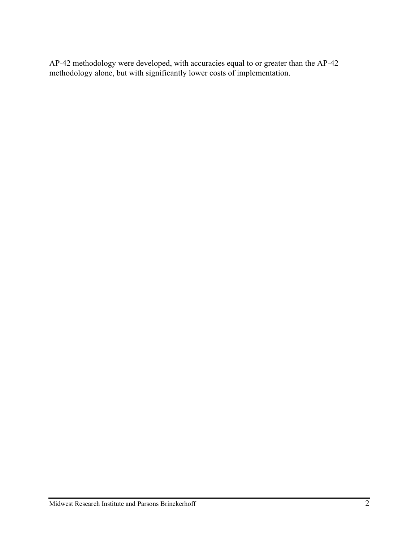AP-42 methodology were developed, with accuracies equal to or greater than the AP-42 methodology alone, but with significantly lower costs of implementation.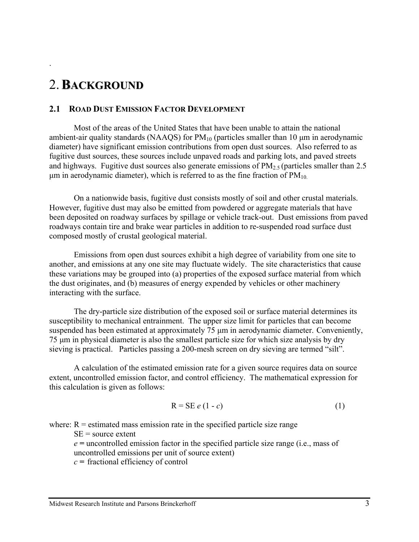# 2.**BACKGROUND**

.

#### **2.1 ROAD DUST EMISSION FACTOR DEVELOPMENT**

Most of the areas of the United States that have been unable to attain the national ambient-air quality standards (NAAQS) for  $PM_{10}$  (particles smaller than 10  $\mu$ m in aerodynamic diameter) have significant emission contributions from open dust sources. Also referred to as fugitive dust sources, these sources include unpaved roads and parking lots, and paved streets and highways. Fugitive dust sources also generate emissions of  $PM_{2.5}$  (particles smaller than 2.5 μm in aerodynamic diameter), which is referred to as the fine fraction of  $PM_{10}$ .

On a nationwide basis, fugitive dust consists mostly of soil and other crustal materials. However, fugitive dust may also be emitted from powdered or aggregate materials that have been deposited on roadway surfaces by spillage or vehicle track-out. Dust emissions from paved roadways contain tire and brake wear particles in addition to re-suspended road surface dust composed mostly of crustal geological material.

Emissions from open dust sources exhibit a high degree of variability from one site to another, and emissions at any one site may fluctuate widely. The site characteristics that cause these variations may be grouped into (a) properties of the exposed surface material from which the dust originates, and (b) measures of energy expended by vehicles or other machinery interacting with the surface.

The dry-particle size distribution of the exposed soil or surface material determines its susceptibility to mechanical entrainment. The upper size limit for particles that can become suspended has been estimated at approximately 75 μm in aerodynamic diameter. Conveniently, 75 μm in physical diameter is also the smallest particle size for which size analysis by dry sieving is practical. Particles passing a 200-mesh screen on dry sieving are termed "silt".

A calculation of the estimated emission rate for a given source requires data on source extent, uncontrolled emission factor, and control efficiency. The mathematical expression for this calculation is given as follows:

$$
R = SE e (1 - c) \tag{1}
$$

where:  $R =$  estimated mass emission rate in the specified particle size range

 $SE = source$  extent

*e =* uncontrolled emission factor in the specified particle size range (i.e., mass of uncontrolled emissions per unit of source extent)

*c =* fractional efficiency of control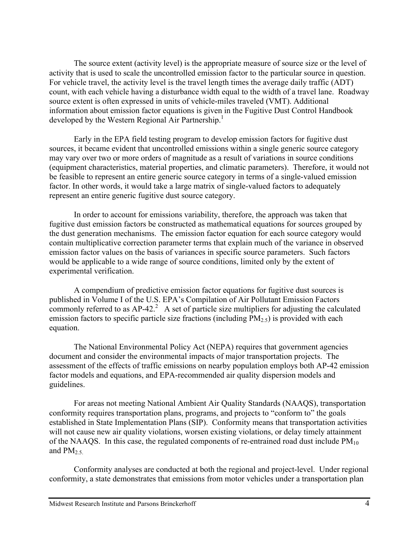The source extent (activity level) is the appropriate measure of source size or the level of activity that is used to scale the uncontrolled emission factor to the particular source in question. For vehicle travel, the activity level is the travel length times the average daily traffic (ADT) count, with each vehicle having a disturbance width equal to the width of a travel lane. Roadway source extent is often expressed in units of vehicle-miles traveled (VMT). Additional information about emission factor equations is given in the Fugitive Dust Control Handbook developed by the Western Regional Air Partnership.<sup>1</sup>

Early in the EPA field testing program to develop emission factors for fugitive dust sources, it became evident that uncontrolled emissions within a single generic source category may vary over two or more orders of magnitude as a result of variations in source conditions (equipment characteristics, material properties, and climatic parameters). Therefore, it would not be feasible to represent an entire generic source category in terms of a single-valued emission factor. In other words, it would take a large matrix of single-valued factors to adequately represent an entire generic fugitive dust source category.

In order to account for emissions variability, therefore, the approach was taken that fugitive dust emission factors be constructed as mathematical equations for sources grouped by the dust generation mechanisms. The emission factor equation for each source category would contain multiplicative correction parameter terms that explain much of the variance in observed emission factor values on the basis of variances in specific source parameters. Such factors would be applicable to a wide range of source conditions, limited only by the extent of experimental verification.

A compendium of predictive emission factor equations for fugitive dust sources is published in Volume I of the U.S. EPA's Compilation of Air Pollutant Emission Factors commonly referred to as  $AP-42$ .<sup>2</sup> A set of particle size multipliers for adjusting the calculated emission factors to specific particle size fractions (including  $PM_{2.5}$ ) is provided with each equation.

The National Environmental Policy Act (NEPA) requires that government agencies document and consider the environmental impacts of major transportation projects. The assessment of the effects of traffic emissions on nearby population employs both AP-42 emission factor models and equations, and EPA-recommended air quality dispersion models and guidelines.

For areas not meeting National Ambient Air Quality Standards (NAAQS), transportation conformity requires transportation plans, programs, and projects to "conform to" the goals established in State Implementation Plans (SIP). Conformity means that transportation activities will not cause new air quality violations, worsen existing violations, or delay timely attainment of the NAAQS. In this case, the regulated components of re-entrained road dust include  $PM_{10}$ and  $PM_{2.5}$ .

Conformity analyses are conducted at both the regional and project-level. Under regional conformity, a state demonstrates that emissions from motor vehicles under a transportation plan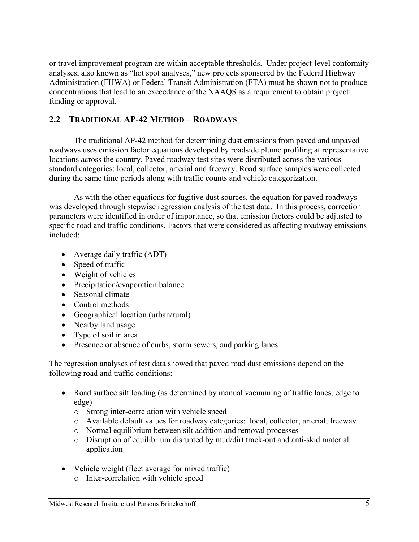or travel improvement program are within acceptable thresholds. Under project-level conformity analyses, also known as "hot spot analyses," new projects sponsored by the Federal Highway Administration (FHWA) or Federal Transit Administration (FTA) must be shown not to produce concentrations that lead to an exceedance of the NAAQS as a requirement to obtain project funding or approval.

### **2.2 TRADITIONAL AP-42 METHOD – ROADWAYS**

The traditional AP-42 method for determining dust emissions from paved and unpaved roadways uses emission factor equations developed by roadside plume profiling at representative locations across the country. Paved roadway test sites were distributed across the various standard categories: local, collector, arterial and freeway. Road surface samples were collected during the same time periods along with traffic counts and vehicle categorization.

As with the other equations for fugitive dust sources, the equation for paved roadways was developed through stepwise regression analysis of the test data. In this process, correction parameters were identified in order of importance, so that emission factors could be adjusted to specific road and traffic conditions. Factors that were considered as affecting roadway emissions included:

- Average daily traffic (ADT)
- Speed of traffic
- Weight of vehicles
- Precipitation/evaporation balance
- Seasonal climate
- Control methods
- Geographical location (urban/rural)
- Nearby land usage
- Type of soil in area
- Presence or absence of curbs, storm sewers, and parking lanes

The regression analyses of test data showed that paved road dust emissions depend on the following road and traffic conditions:

- Road surface silt loading (as determined by manual vacuuming of traffic lanes, edge to edge)
	- o Strong inter-correlation with vehicle speed
	- o Available default values for roadway categories: local, collector, arterial, freeway
	- o Normal equilibrium between silt addition and removal processes
	- o Disruption of equilibrium disrupted by mud/dirt track-out and anti-skid material application
- Vehicle weight (fleet average for mixed traffic)
	- o Inter-correlation with vehicle speed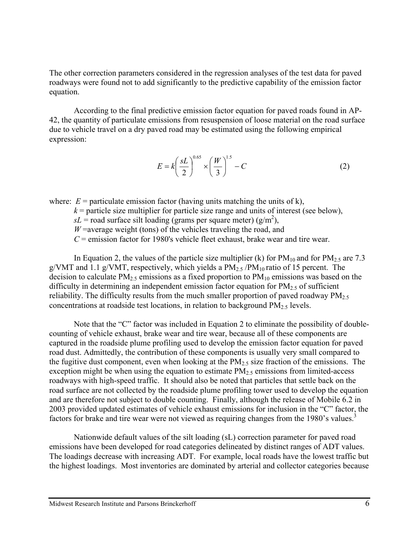The other correction parameters considered in the regression analyses of the test data for paved roadways were found not to add significantly to the predictive capability of the emission factor equation.

According to the final predictive emission factor equation for paved roads found in AP-42, the quantity of particulate emissions from resuspension of loose material on the road surface due to vehicle travel on a dry paved road may be estimated using the following empirical expression:

$$
E = k \left(\frac{sL}{2}\right)^{0.65} \times \left(\frac{W}{3}\right)^{1.5} - C \tag{2}
$$

where:  $E =$  particulate emission factor (having units matching the units of k),

 $k$  = particle size multiplier for particle size range and units of interest (see below),

 $sL$  = road surface silt loading (grams per square meter) (g/m<sup>2</sup>),

 $W$ =average weight (tons) of the vehicles traveling the road, and

*C* = emission factor for 1980's vehicle fleet exhaust, brake wear and tire wear.

In Equation 2, the values of the particle size multiplier (k) for  $PM_{10}$  and for  $PM_{2.5}$  are 7.3 g/VMT and 1.1 g/VMT, respectively, which yields a  $PM_{2.5} / PM_{10}$  ratio of 15 percent. The decision to calculate  $PM_{2.5}$  emissions as a fixed proportion to  $PM_{10}$  emissions was based on the difficulty in determining an independent emission factor equation for  $PM<sub>2.5</sub>$  of sufficient reliability. The difficulty results from the much smaller proportion of paved roadway  $PM_{2.5}$ concentrations at roadside test locations, in relation to background  $PM<sub>2.5</sub>$  levels.

Note that the "C" factor was included in Equation 2 to eliminate the possibility of doublecounting of vehicle exhaust, brake wear and tire wear, because all of these components are captured in the roadside plume profiling used to develop the emission factor equation for paved road dust. Admittedly, the contribution of these components is usually very small compared to the fugitive dust component, even when looking at the  $PM_{2.5}$  size fraction of the emissions. The exception might be when using the equation to estimate  $PM_{2.5}$  emissions from limited-access roadways with high-speed traffic. It should also be noted that particles that settle back on the road surface are not collected by the roadside plume profiling tower used to develop the equation and are therefore not subject to double counting. Finally, although the release of Mobile 6.2 in 2003 provided updated estimates of vehicle exhaust emissions for inclusion in the "C" factor, the factors for brake and tire wear were not viewed as requiring changes from the 1980's values.<sup>3</sup>

Nationwide default values of the silt loading (sL) correction parameter for paved road emissions have been developed for road categories delineated by distinct ranges of ADT values. The loadings decrease with increasing ADT. For example, local roads have the lowest traffic but the highest loadings. Most inventories are dominated by arterial and collector categories because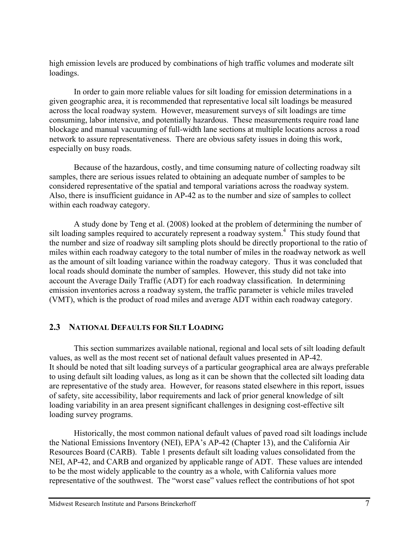high emission levels are produced by combinations of high traffic volumes and moderate silt loadings.

In order to gain more reliable values for silt loading for emission determinations in a given geographic area, it is recommended that representative local silt loadings be measured across the local roadway system. However, measurement surveys of silt loadings are time consuming, labor intensive, and potentially hazardous. These measurements require road lane blockage and manual vacuuming of full-width lane sections at multiple locations across a road network to assure representativeness. There are obvious safety issues in doing this work, especially on busy roads.

Because of the hazardous, costly, and time consuming nature of collecting roadway silt samples, there are serious issues related to obtaining an adequate number of samples to be considered representative of the spatial and temporal variations across the roadway system. Also, there is insufficient guidance in AP-42 as to the number and size of samples to collect within each roadway category.

A study done by Teng et al. (2008) looked at the problem of determining the number of silt loading samples required to accurately represent a roadway system.<sup>4</sup> This study found that the number and size of roadway silt sampling plots should be directly proportional to the ratio of miles within each roadway category to the total number of miles in the roadway network as well as the amount of silt loading variance within the roadway category. Thus it was concluded that local roads should dominate the number of samples. However, this study did not take into account the Average Daily Traffic (ADT) for each roadway classification. In determining emission inventories across a roadway system, the traffic parameter is vehicle miles traveled (VMT), which is the product of road miles and average ADT within each roadway category.

### **2.3 NATIONAL DEFAULTS FOR SILT LOADING**

This section summarizes available national, regional and local sets of silt loading default values, as well as the most recent set of national default values presented in AP-42. It should be noted that silt loading surveys of a particular geographical area are always preferable to using default silt loading values, as long as it can be shown that the collected silt loading data are representative of the study area. However, for reasons stated elsewhere in this report, issues of safety, site accessibility, labor requirements and lack of prior general knowledge of silt loading variability in an area present significant challenges in designing cost-effective silt loading survey programs.

Historically, the most common national default values of paved road silt loadings include the National Emissions Inventory (NEI), EPA's AP-42 (Chapter 13), and the California Air Resources Board (CARB). Table 1 presents default silt loading values consolidated from the NEI, AP-42, and CARB and organized by applicable range of ADT. These values are intended to be the most widely applicable to the country as a whole, with California values more representative of the southwest. The "worst case" values reflect the contributions of hot spot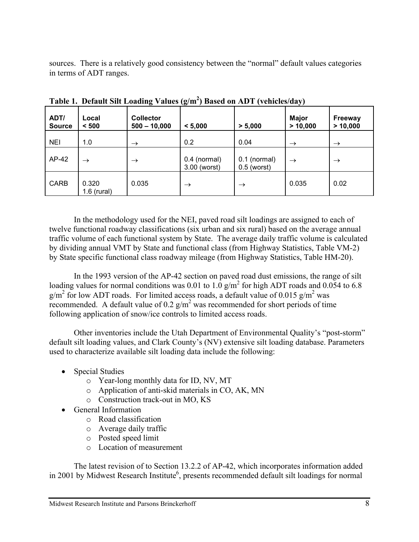sources. There is a relatively good consistency between the "normal" default values categories in terms of ADT ranges.

| ADT/<br><b>Source</b> | Local<br>< 500         | 0<br><b>Collector</b><br>$500 - 10,000$ | $\sim$<br>< 5,000              | > 5,000                         | $\cdot$<br><b>Major</b><br>> 10,000 | <b>Freeway</b><br>> 10,000 |
|-----------------------|------------------------|-----------------------------------------|--------------------------------|---------------------------------|-------------------------------------|----------------------------|
| <b>NEI</b>            | 1.0                    | $\rightarrow$                           | 0.2                            | 0.04                            | $\rightarrow$                       | $\rightarrow$              |
| AP-42                 | $\rightarrow$          | $\rightarrow$                           | $0.4$ (normal)<br>3.00 (worst) | $0.1$ (normal)<br>$0.5$ (worst) | $\rightarrow$                       | $\rightarrow$              |
| CARB                  | 0.320<br>$1.6$ (rural) | 0.035                                   | $\rightarrow$                  | $\rightarrow$                   | 0.035                               | 0.02                       |

**Table 1. Default Silt Loading Values (g/m2 ) Based on ADT (vehicles/day)**

In the methodology used for the NEI, paved road silt loadings are assigned to each of twelve functional roadway classifications (six urban and six rural) based on the average annual traffic volume of each functional system by State. The average daily traffic volume is calculated by dividing annual VMT by State and functional class (from Highway Statistics, Table VM-2) by State specific functional class roadway mileage (from Highway Statistics, Table HM-20).

In the 1993 version of the AP-42 section on paved road dust emissions, the range of silt loading values for normal conditions was 0.01 to  $1.0 \text{ g/m}^2$  for high ADT roads and 0.054 to 6.8  $g/m^2$  for low ADT roads. For limited access roads, a default value of 0.015  $g/m^2$  was recommended. A default value of 0.2  $g/m^2$  was recommended for short periods of time following application of snow/ice controls to limited access roads.

Other inventories include the Utah Department of Environmental Quality's "post-storm" default silt loading values, and Clark County's (NV) extensive silt loading database. Parameters used to characterize available silt loading data include the following:

- Special Studies
	- o Year-long monthly data for ID, NV, MT
	- o Application of anti-skid materials in CO, AK, MN
	- o Construction track-out in MO, KS
- General Information
	- o Road classification
	- o Average daily traffic
	- o Posted speed limit
	- o Location of measurement

The latest revision of to Section 13.2.2 of AP-42, which incorporates information added in 2001 by Midwest Research Institute<sup>6</sup>, presents recommended default silt loadings for normal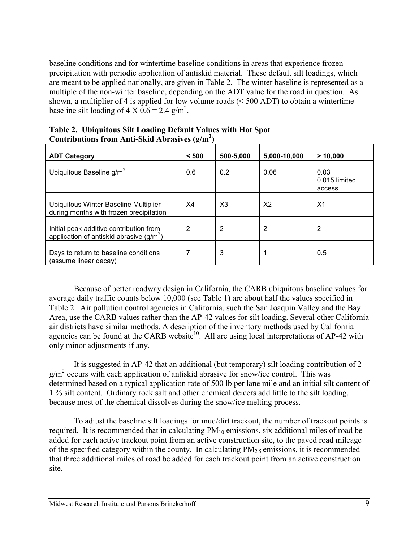baseline conditions and for wintertime baseline conditions in areas that experience frozen precipitation with periodic application of antiskid material. These default silt loadings, which are meant to be applied nationally, are given in Table 2. The winter baseline is represented as a multiple of the non-winter baseline, depending on the ADT value for the road in question. As shown, a multiplier of 4 is applied for low volume roads  $( $500 \text{ ADT}$ )$  to obtain a wintertime baseline silt loading of 4 X  $0.6 = 2.4$  g/m<sup>2</sup>.

| <b>ADT Category</b>                                                                   | < 500          | 500-5,000 | 5,000-10,000   | > 10,000                        |
|---------------------------------------------------------------------------------------|----------------|-----------|----------------|---------------------------------|
| Ubiquitous Baseline g/m <sup>2</sup>                                                  | 0.6            | 0.2       | 0.06           | 0.03<br>0.015 limited<br>access |
| Ubiquitous Winter Baseline Multiplier<br>during months with frozen precipitation      | X <sub>4</sub> | X3        | X <sub>2</sub> | X <sub>1</sub>                  |
| Initial peak additive contribution from<br>application of antiskid abrasive $(g/m^2)$ | 2              | 2         | 2              | 2                               |
| Days to return to baseline conditions<br>(assume linear decay)                        |                | 3         |                | 0.5                             |

|  |                                                  | Table 2. Ubiquitous Silt Loading Default Values with Hot Spot |
|--|--------------------------------------------------|---------------------------------------------------------------|
|  | Contributions from Anti-Skid Abrasives $(g/m^2)$ |                                                               |

Because of better roadway design in California, the CARB ubiquitous baseline values for average daily traffic counts below 10,000 (see Table 1) are about half the values specified in Table 2. Air pollution control agencies in California, such the San Joaquin Valley and the Bay Area, use the CARB values rather than the AP-42 values for silt loading. Several other California air districts have similar methods. A description of the inventory methods used by California agencies can be found at the CARB website<sup>10</sup>. All are using local interpretations of AP-42 with only minor adjustments if any.

It is suggested in AP-42 that an additional (but temporary) silt loading contribution of 2  $g/m^2$  occurs with each application of antiskid abrasive for snow/ice control. This was determined based on a typical application rate of 500 lb per lane mile and an initial silt content of 1 % silt content. Ordinary rock salt and other chemical deicers add little to the silt loading, because most of the chemical dissolves during the snow/ice melting process.

To adjust the baseline silt loadings for mud/dirt trackout, the number of trackout points is required. It is recommended that in calculating  $PM_{10}$  emissions, six additional miles of road be added for each active trackout point from an active construction site, to the paved road mileage of the specified category within the county. In calculating  $PM<sub>2.5</sub>$  emissions, it is recommended that three additional miles of road be added for each trackout point from an active construction site.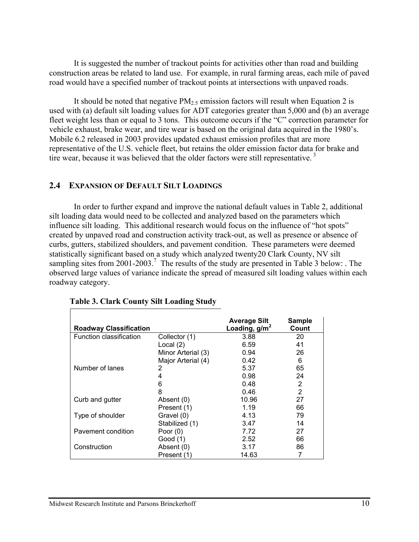It is suggested the number of trackout points for activities other than road and building construction areas be related to land use. For example, in rural farming areas, each mile of paved road would have a specified number of trackout points at intersections with unpaved roads.

It should be noted that negative  $PM_{2.5}$  emission factors will result when Equation 2 is used with (a) default silt loading values for ADT categories greater than 5,000 and (b) an average fleet weight less than or equal to 3 tons. This outcome occurs if the "C" correction parameter for vehicle exhaust, brake wear, and tire wear is based on the original data acquired in the 1980's. Mobile 6.2 released in 2003 provides updated exhaust emission profiles that are more representative of the U.S. vehicle fleet, but retains the older emission factor data for brake and tire wear, because it was believed that the older factors were still representative.<sup>3</sup>

#### **2.4 EXPANSION OF DEFAULT SILT LOADINGS**

In order to further expand and improve the national default values in Table 2, additional silt loading data would need to be collected and analyzed based on the parameters which influence silt loading. This additional research would focus on the influence of "hot spots" created by unpaved road and construction activity track-out, as well as presence or absence of curbs, gutters, stabilized shoulders, and pavement condition. These parameters were deemed statistically significant based on a study which analyzed twenty20 Clark County, NV silt sampling sites from  $2001-2003$ .<sup>7</sup> The results of the study are presented in Table 3 below: . The observed large values of variance indicate the spread of measured silt loading values within each roadway category.

| <b>Roadway Classification</b> |                    | <b>Average Silt</b><br>Loading, $g/m2$ | <b>Sample</b><br>Count |
|-------------------------------|--------------------|----------------------------------------|------------------------|
| Function classification       | Collector (1)      | 3.88                                   | 20                     |
|                               | Local (2)          | 6.59                                   | 41                     |
|                               | Minor Arterial (3) | 0.94                                   | 26                     |
|                               | Major Arterial (4) | 0.42                                   | 6                      |
| Number of lanes               | 2                  | 5.37                                   | 65                     |
|                               | 4                  | 0.98                                   | 24                     |
|                               | 6                  | 0.48                                   | 2                      |
|                               | 8                  | 0.46                                   | 2                      |
| Curb and gutter               | Absent (0)         | 10.96                                  | 27                     |
|                               | Present (1)        | 1.19                                   | 66                     |
| Type of shoulder              | Gravel (0)         | 4.13                                   | 79                     |
|                               | Stabilized (1)     | 3.47                                   | 14                     |
| Pavement condition            | Poor $(0)$         | 7.72                                   | 27                     |
|                               | Good (1)           | 2.52                                   | 66                     |
| Construction                  | Absent (0)         | 3.17                                   | 86                     |
|                               | Present (1)        | 14.63                                  |                        |

#### **Table 3. Clark County Silt Loading Study**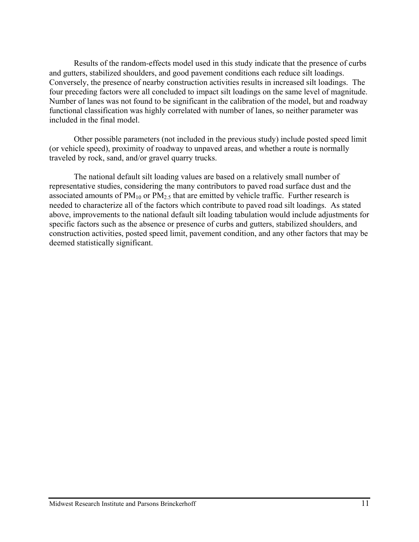Results of the random-effects model used in this study indicate that the presence of curbs and gutters, stabilized shoulders, and good pavement conditions each reduce silt loadings. Conversely, the presence of nearby construction activities results in increased silt loadings. The four preceding factors were all concluded to impact silt loadings on the same level of magnitude. Number of lanes was not found to be significant in the calibration of the model, but and roadway functional classification was highly correlated with number of lanes, so neither parameter was included in the final model.

Other possible parameters (not included in the previous study) include posted speed limit (or vehicle speed), proximity of roadway to unpaved areas, and whether a route is normally traveled by rock, sand, and/or gravel quarry trucks.

The national default silt loading values are based on a relatively small number of representative studies, considering the many contributors to paved road surface dust and the associated amounts of  $PM_{10}$  or  $PM_{2.5}$  that are emitted by vehicle traffic. Further research is needed to characterize all of the factors which contribute to paved road silt loadings. As stated above, improvements to the national default silt loading tabulation would include adjustments for specific factors such as the absence or presence of curbs and gutters, stabilized shoulders, and construction activities, posted speed limit, pavement condition, and any other factors that may be deemed statistically significant.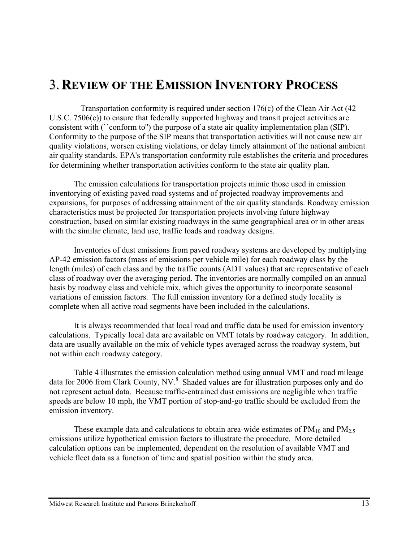# 3. **REVIEW OF THE EMISSION INVENTORY PROCESS**

Transportation conformity is required under section 176(c) of the Clean Air Act (42 U.S.C. 7506(c)) to ensure that federally supported highway and transit project activities are consistent with (``conform to'') the purpose of a state air quality implementation plan (SIP). Conformity to the purpose of the SIP means that transportation activities will not cause new air quality violations, worsen existing violations, or delay timely attainment of the national ambient air quality standards. EPA's transportation conformity rule establishes the criteria and procedures for determining whether transportation activities conform to the state air quality plan.

The emission calculations for transportation projects mimic those used in emission inventorying of existing paved road systems and of projected roadway improvements and expansions, for purposes of addressing attainment of the air quality standards. Roadway emission characteristics must be projected for transportation projects involving future highway construction, based on similar existing roadways in the same geographical area or in other areas with the similar climate, land use, traffic loads and roadway designs.

Inventories of dust emissions from paved roadway systems are developed by multiplying AP-42 emission factors (mass of emissions per vehicle mile) for each roadway class by the length (miles) of each class and by the traffic counts (ADT values) that are representative of each class of roadway over the averaging period. The inventories are normally compiled on an annual basis by roadway class and vehicle mix, which gives the opportunity to incorporate seasonal variations of emission factors. The full emission inventory for a defined study locality is complete when all active road segments have been included in the calculations.

It is always recommended that local road and traffic data be used for emission inventory calculations. Typically local data are available on VMT totals by roadway category. In addition, data are usually available on the mix of vehicle types averaged across the roadway system, but not within each roadway category.

Table 4 illustrates the emission calculation method using annual VMT and road mileage data for 2006 from Clark County, NV. $^8$  Shaded values are for illustration purposes only and do not represent actual data. Because traffic-entrained dust emissions are negligible when traffic speeds are below 10 mph, the VMT portion of stop-and-go traffic should be excluded from the emission inventory.

These example data and calculations to obtain area-wide estimates of  $PM_{10}$  and  $PM_{2.5}$ emissions utilize hypothetical emission factors to illustrate the procedure. More detailed calculation options can be implemented, dependent on the resolution of available VMT and vehicle fleet data as a function of time and spatial position within the study area.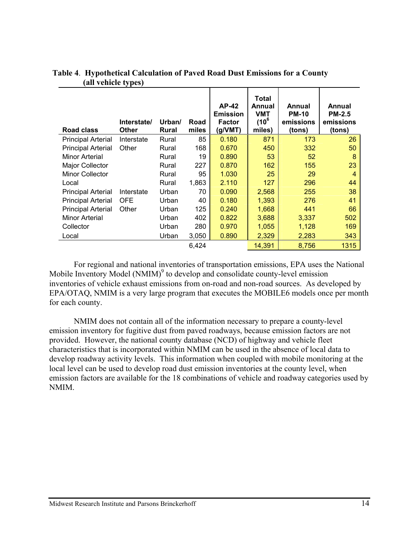| Road class                | Interstate/<br><b>Other</b> | Urban/<br>Rural | Road<br>miles | <b>AP-42</b><br><b>Emission</b><br>Factor<br>(g/VMT) | Total<br>Annual<br><b>VMT</b><br>$(10^6$<br>miles) | Annual<br><b>PM-10</b><br>emissions<br>(tons) | Annual<br><b>PM-2.5</b><br>emissions<br>(tons) |
|---------------------------|-----------------------------|-----------------|---------------|------------------------------------------------------|----------------------------------------------------|-----------------------------------------------|------------------------------------------------|
| <b>Principal Arterial</b> | Interstate                  | Rural           | 85            | 0.180                                                | 871                                                | 173                                           | 26                                             |
| <b>Principal Arterial</b> | Other                       | Rural           | 168           | 0.670                                                | 450                                                | 332                                           | 50                                             |
| <b>Minor Arterial</b>     |                             | Rural           | 19            | 0.890                                                | 53                                                 | 52                                            | 8                                              |
| <b>Major Collector</b>    |                             | Rural           | 227           | 0.870                                                | 162                                                | 155                                           | 23                                             |
| <b>Minor Collector</b>    |                             | Rural           | 95            | 1.030                                                | 25                                                 | 29                                            | 4                                              |
| Local                     |                             | Rural           | 1,863         | 2.110                                                | 127                                                | 296                                           | 44                                             |
| <b>Principal Arterial</b> | Interstate                  | Urban           | 70            | 0.090                                                | 2,568                                              | 255                                           | 38                                             |
| <b>Principal Arterial</b> | <b>OFE</b>                  | Urban           | 40            | 0.180                                                | 1,393                                              | 276                                           | 41                                             |
| <b>Principal Arterial</b> | Other                       | Urban           | 125           | 0.240                                                | 1,668                                              | 441                                           | 66                                             |
| <b>Minor Arterial</b>     |                             | Urban           | 402           | 0.822                                                | 3,688                                              | 3,337                                         | 502                                            |
| Collector                 |                             | Urban           | 280           | 0.970                                                | 1,055                                              | 1,128                                         | 169                                            |
| Local                     |                             | Urban           | 3,050         | 0.890                                                | 2,329                                              | 2,283                                         | 343                                            |
|                           |                             |                 | 6.424         |                                                      | 14,391                                             | 8,756                                         | 1315                                           |

#### **Table 4**. **Hypothetical Calculation of Paved Road Dust Emissions for a County (all vehicle types)**

For regional and national inventories of transportation emissions, EPA uses the National Mobile Inventory Model  $(NMIM)^9$  to develop and consolidate county-level emission inventories of vehicle exhaust emissions from on-road and non-road sources. As developed by EPA/OTAQ, NMIM is a very large program that executes the MOBILE6 models once per month for each county.

NMIM does not contain all of the information necessary to prepare a county-level emission inventory for fugitive dust from paved roadways, because emission factors are not provided. However, the national county database (NCD) of highway and vehicle fleet characteristics that is incorporated within NMIM can be used in the absence of local data to develop roadway activity levels. This information when coupled with mobile monitoring at the local level can be used to develop road dust emission inventories at the county level, when emission factors are available for the 18 combinations of vehicle and roadway categories used by NMIM.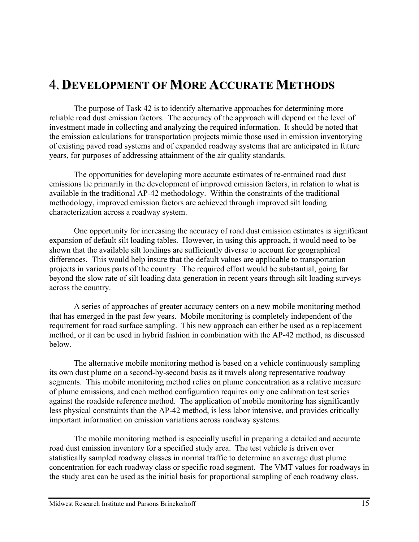# 4. **DEVELOPMENT OF MORE ACCURATE METHODS**

The purpose of Task 42 is to identify alternative approaches for determining more reliable road dust emission factors. The accuracy of the approach will depend on the level of investment made in collecting and analyzing the required information. It should be noted that the emission calculations for transportation projects mimic those used in emission inventorying of existing paved road systems and of expanded roadway systems that are anticipated in future years, for purposes of addressing attainment of the air quality standards.

The opportunities for developing more accurate estimates of re-entrained road dust emissions lie primarily in the development of improved emission factors, in relation to what is available in the traditional AP-42 methodology. Within the constraints of the traditional methodology, improved emission factors are achieved through improved silt loading characterization across a roadway system.

One opportunity for increasing the accuracy of road dust emission estimates is significant expansion of default silt loading tables. However, in using this approach, it would need to be shown that the available silt loadings are sufficiently diverse to account for geographical differences. This would help insure that the default values are applicable to transportation projects in various parts of the country. The required effort would be substantial, going far beyond the slow rate of silt loading data generation in recent years through silt loading surveys across the country.

A series of approaches of greater accuracy centers on a new mobile monitoring method that has emerged in the past few years. Mobile monitoring is completely independent of the requirement for road surface sampling. This new approach can either be used as a replacement method, or it can be used in hybrid fashion in combination with the AP-42 method, as discussed below.

The alternative mobile monitoring method is based on a vehicle continuously sampling its own dust plume on a second-by-second basis as it travels along representative roadway segments. This mobile monitoring method relies on plume concentration as a relative measure of plume emissions, and each method configuration requires only one calibration test series against the roadside reference method. The application of mobile monitoring has significantly less physical constraints than the AP-42 method, is less labor intensive, and provides critically important information on emission variations across roadway systems.

The mobile monitoring method is especially useful in preparing a detailed and accurate road dust emission inventory for a specified study area. The test vehicle is driven over statistically sampled roadway classes in normal traffic to determine an average dust plume concentration for each roadway class or specific road segment. The VMT values for roadways in the study area can be used as the initial basis for proportional sampling of each roadway class.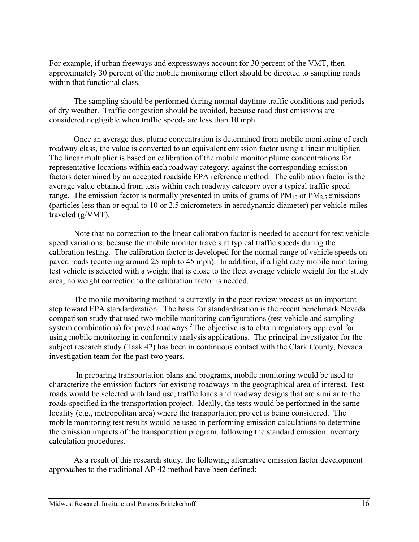For example, if urban freeways and expressways account for 30 percent of the VMT, then approximately 30 percent of the mobile monitoring effort should be directed to sampling roads within that functional class.

The sampling should be performed during normal daytime traffic conditions and periods of dry weather. Traffic congestion should be avoided, because road dust emissions are considered negligible when traffic speeds are less than 10 mph.

Once an average dust plume concentration is determined from mobile monitoring of each roadway class, the value is converted to an equivalent emission factor using a linear multiplier. The linear multiplier is based on calibration of the mobile monitor plume concentrations for representative locations within each roadway category, against the corresponding emission factors determined by an accepted roadside EPA reference method. The calibration factor is the average value obtained from tests within each roadway category over a typical traffic speed range. The emission factor is normally presented in units of grams of  $PM_{10}$  or  $PM_{2.5}$  emissions (particles less than or equal to 10 or 2.5 micrometers in aerodynamic diameter) per vehicle-miles traveled (g/VMT).

Note that no correction to the linear calibration factor is needed to account for test vehicle speed variations, because the mobile monitor travels at typical traffic speeds during the calibration testing. The calibration factor is developed for the normal range of vehicle speeds on paved roads (centering around 25 mph to 45 mph). In addition, if a light duty mobile monitoring test vehicle is selected with a weight that is close to the fleet average vehicle weight for the study area, no weight correction to the calibration factor is needed.

The mobile monitoring method is currently in the peer review process as an important step toward EPA standardization. The basis for standardization is the recent benchmark Nevada comparison study that used two mobile monitoring configurations (test vehicle and sampling system combinations) for paved roadways.<sup>5</sup>The objective is to obtain regulatory approval for using mobile monitoring in conformity analysis applications. The principal investigator for the subject research study (Task 42) has been in continuous contact with the Clark County, Nevada investigation team for the past two years.

In preparing transportation plans and programs, mobile monitoring would be used to characterize the emission factors for existing roadways in the geographical area of interest. Test roads would be selected with land use, traffic loads and roadway designs that are similar to the roads specified in the transportation project. Ideally, the tests would be performed in the same locality (e.g., metropolitan area) where the transportation project is being considered. The mobile monitoring test results would be used in performing emission calculations to determine the emission impacts of the transportation program, following the standard emission inventory calculation procedures.

As a result of this research study, the following alternative emission factor development approaches to the traditional AP-42 method have been defined: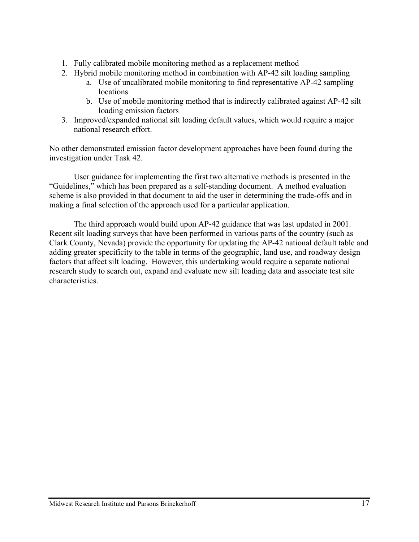- 1. Fully calibrated mobile monitoring method as a replacement method
- 2. Hybrid mobile monitoring method in combination with AP-42 silt loading sampling
	- a. Use of uncalibrated mobile monitoring to find representative AP-42 sampling locations
	- b. Use of mobile monitoring method that is indirectly calibrated against AP-42 silt loading emission factors
- 3. Improved/expanded national silt loading default values, which would require a major national research effort.

No other demonstrated emission factor development approaches have been found during the investigation under Task 42.

User guidance for implementing the first two alternative methods is presented in the "Guidelines," which has been prepared as a self-standing document. A method evaluation scheme is also provided in that document to aid the user in determining the trade-offs and in making a final selection of the approach used for a particular application.

The third approach would build upon AP-42 guidance that was last updated in 2001. Recent silt loading surveys that have been performed in various parts of the country (such as Clark County, Nevada) provide the opportunity for updating the AP-42 national default table and adding greater specificity to the table in terms of the geographic, land use, and roadway design factors that affect silt loading. However, this undertaking would require a separate national research study to search out, expand and evaluate new silt loading data and associate test site characteristics.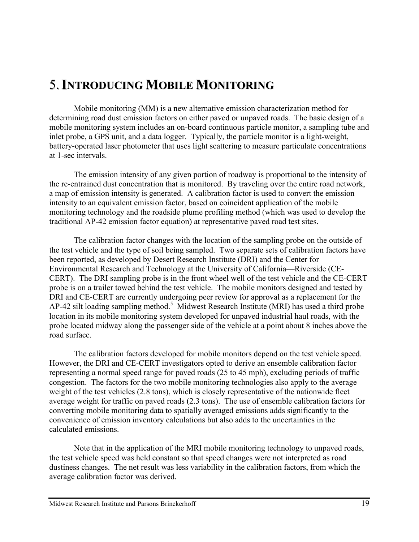# 5.**INTRODUCING MOBILE MONITORING**

Mobile monitoring (MM) is a new alternative emission characterization method for determining road dust emission factors on either paved or unpaved roads. The basic design of a mobile monitoring system includes an on-board continuous particle monitor, a sampling tube and inlet probe, a GPS unit, and a data logger. Typically, the particle monitor is a light-weight, battery-operated laser photometer that uses light scattering to measure particulate concentrations at 1-sec intervals.

The emission intensity of any given portion of roadway is proportional to the intensity of the re-entrained dust concentration that is monitored. By traveling over the entire road network, a map of emission intensity is generated. A calibration factor is used to convert the emission intensity to an equivalent emission factor, based on coincident application of the mobile monitoring technology and the roadside plume profiling method (which was used to develop the traditional AP-42 emission factor equation) at representative paved road test sites.

The calibration factor changes with the location of the sampling probe on the outside of the test vehicle and the type of soil being sampled. Two separate sets of calibration factors have been reported, as developed by Desert Research Institute (DRI) and the Center for Environmental Research and Technology at the University of California—Riverside (CE-CERT). The DRI sampling probe is in the front wheel well of the test vehicle and the CE-CERT probe is on a trailer towed behind the test vehicle. The mobile monitors designed and tested by DRI and CE-CERT are currently undergoing peer review for approval as a replacement for the AP-42 silt loading sampling method.<sup>5</sup> Midwest Research Institute (MRI) has used a third probe location in its mobile monitoring system developed for unpaved industrial haul roads, with the probe located midway along the passenger side of the vehicle at a point about 8 inches above the road surface.

The calibration factors developed for mobile monitors depend on the test vehicle speed. However, the DRI and CE-CERT investigators opted to derive an ensemble calibration factor representing a normal speed range for paved roads (25 to 45 mph), excluding periods of traffic congestion. The factors for the two mobile monitoring technologies also apply to the average weight of the test vehicles (2.8 tons), which is closely representative of the nationwide fleet average weight for traffic on paved roads (2.3 tons). The use of ensemble calibration factors for converting mobile monitoring data to spatially averaged emissions adds significantly to the convenience of emission inventory calculations but also adds to the uncertainties in the calculated emissions.

Note that in the application of the MRI mobile monitoring technology to unpaved roads, the test vehicle speed was held constant so that speed changes were not interpreted as road dustiness changes. The net result was less variability in the calibration factors, from which the average calibration factor was derived.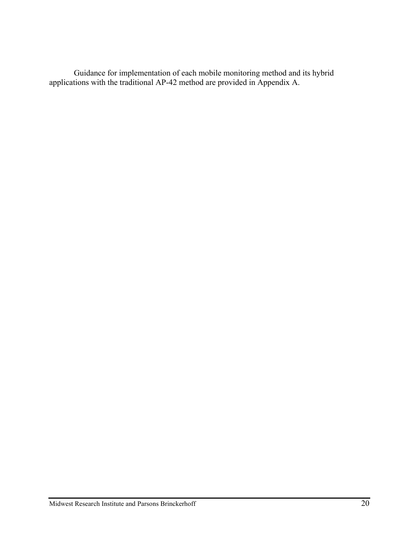Guidance for implementation of each mobile monitoring method and its hybrid applications with the traditional AP-42 method are provided in Appendix A.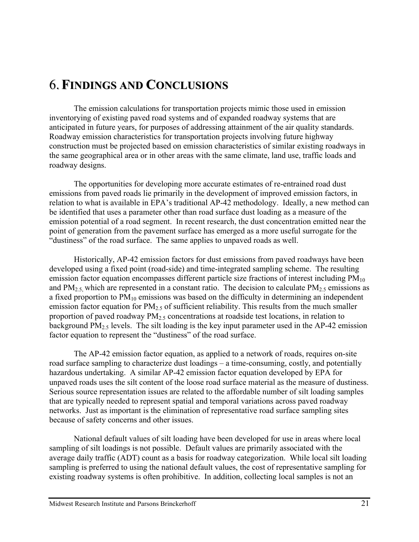### 6.**FINDINGS AND CONCLUSIONS**

The emission calculations for transportation projects mimic those used in emission inventorying of existing paved road systems and of expanded roadway systems that are anticipated in future years, for purposes of addressing attainment of the air quality standards. Roadway emission characteristics for transportation projects involving future highway construction must be projected based on emission characteristics of similar existing roadways in the same geographical area or in other areas with the same climate, land use, traffic loads and roadway designs.

The opportunities for developing more accurate estimates of re-entrained road dust emissions from paved roads lie primarily in the development of improved emission factors, in relation to what is available in EPA's traditional AP-42 methodology. Ideally, a new method can be identified that uses a parameter other than road surface dust loading as a measure of the emission potential of a road segment. In recent research, the dust concentration emitted near the point of generation from the pavement surface has emerged as a more useful surrogate for the "dustiness" of the road surface. The same applies to unpaved roads as well.

Historically, AP-42 emission factors for dust emissions from paved roadways have been developed using a fixed point (road-side) and time-integrated sampling scheme. The resulting emission factor equation encompasses different particle size fractions of interest including  $PM_{10}$ and  $PM_{2.5}$  which are represented in a constant ratio. The decision to calculate  $PM_{2.5}$  emissions as a fixed proportion to  $PM_{10}$  emissions was based on the difficulty in determining an independent emission factor equation for  $PM<sub>2.5</sub>$  of sufficient reliability. This results from the much smaller proportion of paved roadway  $PM_{2.5}$  concentrations at roadside test locations, in relation to background  $PM_{2.5}$  levels. The silt loading is the key input parameter used in the AP-42 emission factor equation to represent the "dustiness" of the road surface.

The AP-42 emission factor equation, as applied to a network of roads, requires on-site road surface sampling to characterize dust loadings – a time-consuming, costly, and potentially hazardous undertaking. A similar AP-42 emission factor equation developed by EPA for unpaved roads uses the silt content of the loose road surface material as the measure of dustiness. Serious source representation issues are related to the affordable number of silt loading samples that are typically needed to represent spatial and temporal variations across paved roadway networks. Just as important is the elimination of representative road surface sampling sites because of safety concerns and other issues.

National default values of silt loading have been developed for use in areas where local sampling of silt loadings is not possible. Default values are primarily associated with the average daily traffic (ADT) count as a basis for roadway categorization. While local silt loading sampling is preferred to using the national default values, the cost of representative sampling for existing roadway systems is often prohibitive. In addition, collecting local samples is not an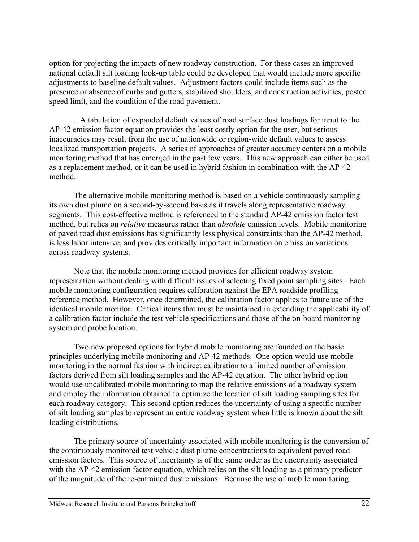option for projecting the impacts of new roadway construction. For these cases an improved national default silt loading look-up table could be developed that would include more specific adjustments to baseline default values. Adjustment factors could include items such as the presence or absence of curbs and gutters, stabilized shoulders, and construction activities, posted speed limit, and the condition of the road pavement.

. A tabulation of expanded default values of road surface dust loadings for input to the AP-42 emission factor equation provides the least costly option for the user, but serious inaccuracies may result from the use of nationwide or region-wide default values to assess localized transportation projects. A series of approaches of greater accuracy centers on a mobile monitoring method that has emerged in the past few years. This new approach can either be used as a replacement method, or it can be used in hybrid fashion in combination with the AP-42 method.

The alternative mobile monitoring method is based on a vehicle continuously sampling its own dust plume on a second-by-second basis as it travels along representative roadway segments. This cost-effective method is referenced to the standard AP-42 emission factor test method, but relies on *relative* measures rather than *absolute* emission levels. Mobile monitoring of paved road dust emissions has significantly less physical constraints than the AP-42 method, is less labor intensive, and provides critically important information on emission variations across roadway systems.

Note that the mobile monitoring method provides for efficient roadway system representation without dealing with difficult issues of selecting fixed point sampling sites. Each mobile monitoring configuration requires calibration against the EPA roadside profiling reference method. However, once determined, the calibration factor applies to future use of the identical mobile monitor. Critical items that must be maintained in extending the applicability of a calibration factor include the test vehicle specifications and those of the on-board monitoring system and probe location.

Two new proposed options for hybrid mobile monitoring are founded on the basic principles underlying mobile monitoring and AP-42 methods. One option would use mobile monitoring in the normal fashion with indirect calibration to a limited number of emission factors derived from silt loading samples and the AP-42 equation. The other hybrid option would use uncalibrated mobile monitoring to map the relative emissions of a roadway system and employ the information obtained to optimize the location of silt loading sampling sites for each roadway category. This second option reduces the uncertainty of using a specific number of silt loading samples to represent an entire roadway system when little is known about the silt loading distributions,

The primary source of uncertainty associated with mobile monitoring is the conversion of the continuously monitored test vehicle dust plume concentrations to equivalent paved road emission factors. This source of uncertainty is of the same order as the uncertainty associated with the AP-42 emission factor equation, which relies on the silt loading as a primary predictor of the magnitude of the re-entrained dust emissions. Because the use of mobile monitoring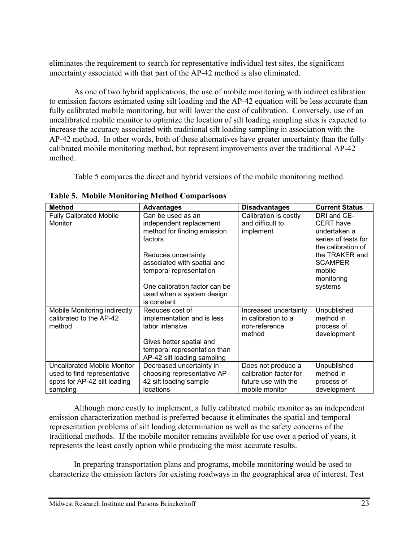eliminates the requirement to search for representative individual test sites, the significant uncertainty associated with that part of the AP-42 method is also eliminated.

As one of two hybrid applications, the use of mobile monitoring with indirect calibration to emission factors estimated using silt loading and the AP-42 equation will be less accurate than fully calibrated mobile monitoring, but will lower the cost of calibration. Conversely, use of an uncalibrated mobile monitor to optimize the location of silt loading sampling sites is expected to increase the accuracy associated with traditional silt loading sampling in association with the AP-42 method. In other words, both of these alternatives have greater uncertainty than the fully calibrated mobile monitoring method, but represent improvements over the traditional AP-42 method.

Table 5 compares the direct and hybrid versions of the mobile monitoring method.

| <b>Method</b>                  | <b>Advantages</b>                        | <b>Disadvantages</b>   | <b>Current Status</b> |
|--------------------------------|------------------------------------------|------------------------|-----------------------|
| <b>Fully Calibrated Mobile</b> | Can be used as an                        | Calibration is costly  | DRI and CE-           |
| Monitor                        | independent replacement                  | and difficult to       | <b>CERT</b> have      |
|                                | method for finding emission              | implement              | undertaken a          |
|                                | factors                                  |                        | series of tests for   |
|                                |                                          |                        | the calibration of    |
|                                | Reduces uncertainty                      |                        | the TRAKER and        |
|                                | associated with spatial and              |                        | <b>SCAMPER</b>        |
|                                | temporal representation                  |                        | mobile                |
|                                |                                          |                        | monitoring            |
|                                | One calibration factor can be            |                        | systems               |
|                                | used when a system design<br>is constant |                        |                       |
| Mobile Monitoring indirectly   | Reduces cost of                          | Increased uncertainty  | Unpublished           |
| calibrated to the AP-42        | implementation and is less               | in calibration to a    | method in             |
| method                         | labor intensive                          | non-reference          | process of            |
|                                |                                          | method                 | development           |
|                                | Gives better spatial and                 |                        |                       |
|                                | temporal representation than             |                        |                       |
|                                | AP-42 silt loading sampling              |                        |                       |
| Uncalibrated Mobile Monitor    | Decreased uncertainty in                 | Does not produce a     | Unpublished           |
| used to find representative    | choosing representative AP-              | calibration factor for | method in             |
| spots for AP-42 silt loading   | 42 silt loading sample                   | future use with the    | process of            |
| sampling                       | <b>locations</b>                         | mobile monitor         | development           |

**Table 5. Mobile Monitoring Method Comparisons**

Although more costly to implement, a fully calibrated mobile monitor as an independent emission characterization method is preferred because it eliminates the spatial and temporal representation problems of silt loading determination as well as the safety concerns of the traditional methods. If the mobile monitor remains available for use over a period of years, it represents the least costly option while producing the most accurate results.

In preparing transportation plans and programs, mobile monitoring would be used to characterize the emission factors for existing roadways in the geographical area of interest. Test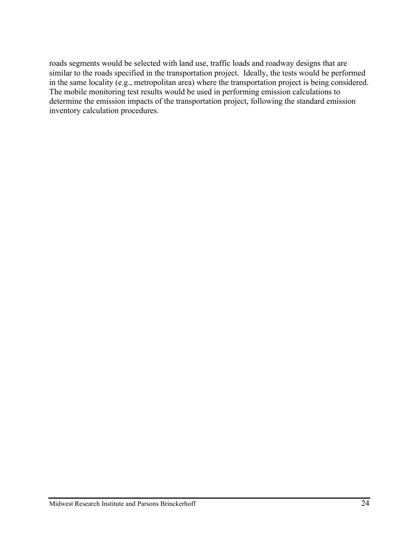roads segments would be selected with land use, traffic loads and roadway designs that are similar to the roads specified in the transportation project. Ideally, the tests would be performed in the same locality (e.g., metropolitan area) where the transportation project is being considered. The mobile monitoring test results would be used in performing emission calculations to determine the emission impacts of the transportation project, following the standard emission inventory calculation procedures.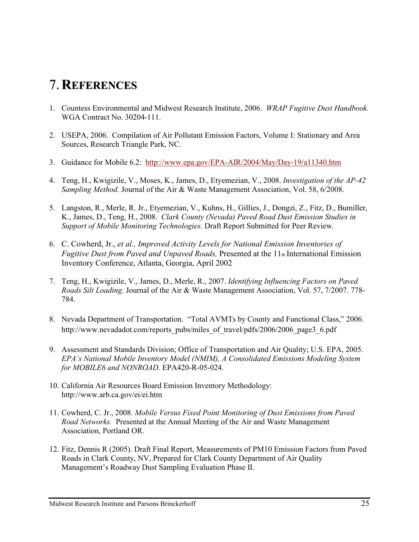# 7. **REFERENCES**

- 1. Countess Environmental and Midwest Research Institute, 2006. *WRAP Fugitive Dust Handbook.* WGA Contract No. 30204-111.
- 2. USEPA, 2006. Compilation of Air Pollutant Emission Factors, Volume I: Stationary and Area Sources, Research Triangle Park, NC.
- 3. Guidance for Mobile 6.2: http://www.epa.gov/EPA-AIR/2004/May/Day-19/a11340.htm
- 4. Teng, H., Kwigizile, V., Moses, K., James, D., Etyemezian, V., 2008. *Investigation of the AP-42 Sampling Method.* Journal of the Air & Waste Management Association, Vol. 58, 6/2008.
- 5. Langston, R., Merle, R. Jr., Etyemezian, V., Kuhns, H., Gillies, J., Dongzi, Z., Fitz, D., Bumiller, K., James, D., Teng, H., 2008. *Clark County (Nevada) Paved Road Dust Emission Studies in Support of Mobile Monitoring Technologies.* Draft Report Submitted for Peer Review.
- 6. C. Cowherd, Jr., *et al., Improved Activity Levels for National Emission Inventories of Fugitive Dust from Paved and Unpaved Roads, Presented at the 11th International Emission* Inventory Conference, Atlanta, Georgia, April 2002
- 7. Teng, H., Kwigizile, V., James, D., Merle, R., 2007. *Identifying Influencing Factors on Paved Roads Silt Loading.* Journal of the Air & Waste Management Association, Vol. 57, 7/2007. 778- 784.
- 8. Nevada Department of Transportation. "Total AVMTs by County and Functional Class," 2006. http://www.nevadadot.com/reports\_pubs/miles\_of\_travel/pdfs/2006/2006\_page3\_6.pdf
- 9. Assessment and Standards Division; Office of Transportation and Air Quality; U.S. EPA, 2005. *EPA's National Mobile Inventory Model (NMIM), A Consolidated Emissions Modeling System for MOBILE6 and NONROAD*. EPA420-R-05-024.
- 10. California Air Resources Board Emission Inventory Methodology: http://www.arb.ca.gov/ei/ei.htm
- 11. Cowherd, C. Jr., 2008. *Mobile Versus Fixed Point Monitoring of Dust Emissions from Paved Road Networks.* Presented at the Annual Meeting of the Air and Waste Management Association, Portland OR.
- 12. Fitz, Dennis R (2005). Draft Final Report, Measurements of PM10 Emission Factors from Paved Roads in Clark County, NV, Prepared for Clark County Department of Air Quality Management's Roadway Dust Sampling Evaluation Phase II.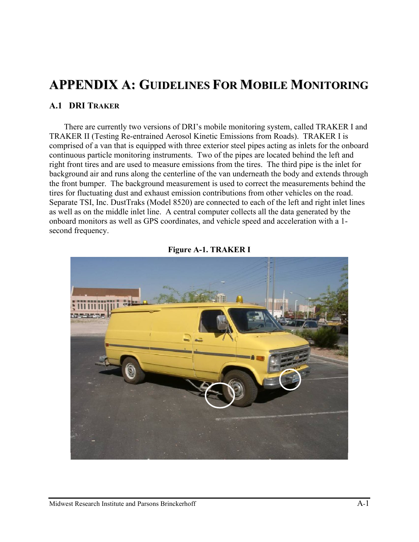# **APPENDIX A: GUIDELINES FOR MOBILE MONITORING**

#### **A.1 DRI TRAKER**

There are currently two versions of DRI's mobile monitoring system, called TRAKER I and TRAKER II (Testing Re-entrained Aerosol Kinetic Emissions from Roads). TRAKER I is comprised of a van that is equipped with three exterior steel pipes acting as inlets for the onboard continuous particle monitoring instruments. Two of the pipes are located behind the left and right front tires and are used to measure emissions from the tires. The third pipe is the inlet for background air and runs along the centerline of the van underneath the body and extends through the front bumper. The background measurement is used to correct the measurements behind the tires for fluctuating dust and exhaust emission contributions from other vehicles on the road. Separate TSI, Inc. DustTraks (Model 8520) are connected to each of the left and right inlet lines as well as on the middle inlet line. A central computer collects all the data generated by the onboard monitors as well as GPS coordinates, and vehicle speed and acceleration with a 1 second frequency.



**Figure A-1. TRAKER I**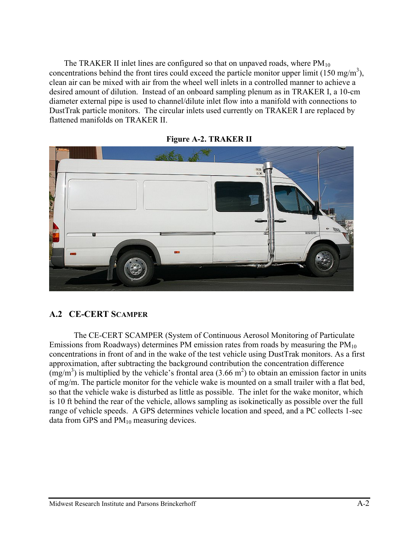The TRAKER II inlet lines are configured so that on unpaved roads, where  $PM_{10}$ concentrations behind the front tires could exceed the particle monitor upper limit (150 mg/m<sup>3</sup>), clean air can be mixed with air from the wheel well inlets in a controlled manner to achieve a desired amount of dilution. Instead of an onboard sampling plenum as in TRAKER I, a 10-cm diameter external pipe is used to channel/dilute inlet flow into a manifold with connections to DustTrak particle monitors. The circular inlets used currently on TRAKER I are replaced by flattened manifolds on TRAKER II.



**Figure A-2. TRAKER II**

### **A.2 CE-CERT SCAMPER**

The CE-CERT SCAMPER (System of Continuous Aerosol Monitoring of Particulate Emissions from Roadways) determines PM emission rates from roads by measuring the  $PM_{10}$ concentrations in front of and in the wake of the test vehicle using DustTrak monitors. As a first approximation, after subtracting the background contribution the concentration difference  $(mg/m<sup>3</sup>)$  is multiplied by the vehicle's frontal area (3.66 m<sup>2</sup>) to obtain an emission factor in units of mg/m. The particle monitor for the vehicle wake is mounted on a small trailer with a flat bed, so that the vehicle wake is disturbed as little as possible. The inlet for the wake monitor, which is 10 ft behind the rear of the vehicle, allows sampling as isokinetically as possible over the full range of vehicle speeds. A GPS determines vehicle location and speed, and a PC collects 1-sec data from GPS and  $PM_{10}$  measuring devices.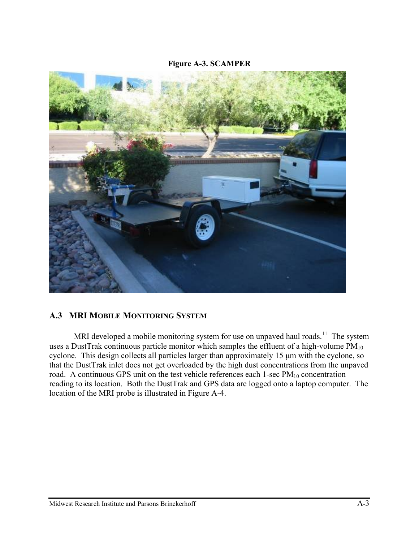#### **Figure A-3. SCAMPER**



### **A.3 MRI MOBILE MONITORING SYSTEM**

MRI developed a mobile monitoring system for use on unpaved haul roads.<sup>11</sup> The system uses a DustTrak continuous particle monitor which samples the effluent of a high-volume  $PM_{10}$ cyclone. This design collects all particles larger than approximately 15 μm with the cyclone, so that the DustTrak inlet does not get overloaded by the high dust concentrations from the unpaved road. A continuous GPS unit on the test vehicle references each  $1$ -sec  $PM_{10}$  concentration reading to its location. Both the DustTrak and GPS data are logged onto a laptop computer. The location of the MRI probe is illustrated in Figure A-4.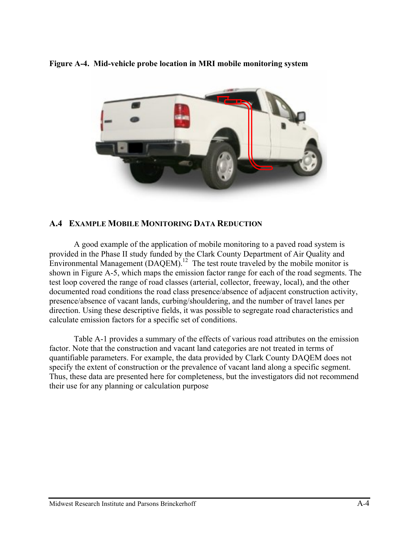**Figure A-4. Mid-vehicle probe location in MRI mobile monitoring system**



### **A.4 EXAMPLE MOBILE MONITORING DATA REDUCTION**

A good example of the application of mobile monitoring to a paved road system is provided in the Phase II study funded by the Clark County Department of Air Quality and Environmental Management  $(DAQEM)^{12}$  The test route traveled by the mobile monitor is shown in Figure A-5, which maps the emission factor range for each of the road segments. The test loop covered the range of road classes (arterial, collector, freeway, local), and the other documented road conditions the road class presence/absence of adjacent construction activity, presence/absence of vacant lands, curbing/shouldering, and the number of travel lanes per direction. Using these descriptive fields, it was possible to segregate road characteristics and calculate emission factors for a specific set of conditions.

Table A-1 provides a summary of the effects of various road attributes on the emission factor. Note that the construction and vacant land categories are not treated in terms of quantifiable parameters. For example, the data provided by Clark County DAQEM does not specify the extent of construction or the prevalence of vacant land along a specific segment. Thus, these data are presented here for completeness, but the investigators did not recommend their use for any planning or calculation purpose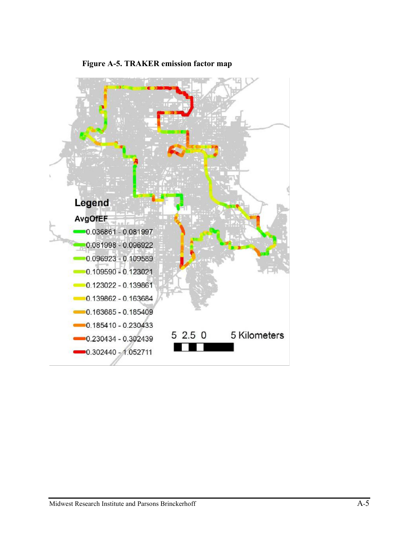

#### **Figure A-5. TRAKER emission factor map**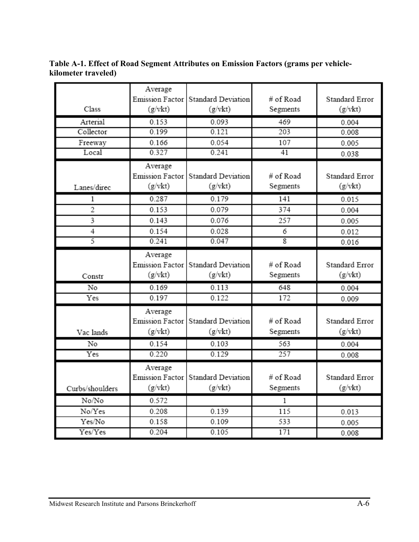**Table A-1. Effect of Road Segment Attributes on Emission Factors (grams per vehiclekilometer traveled)**

|                 | Average                |                    |           |                |
|-----------------|------------------------|--------------------|-----------|----------------|
|                 | Emission Factor        | Standard Deviation | # of Road | Standard Error |
| Class           | (g/vkt)                | (g/vkt)            | Segments  | (g/vkt)        |
| Arterial        | 0.153                  | 0.093              | 469       | 0.004          |
| Collector       | 0.199                  | 0.121              | 203       | 0.008          |
| Freeway         | 0.166                  | 0.054              | 107       | 0.005          |
| Local           | 0.327                  | 0.241              | 41        | 0.038          |
|                 | Average                |                    |           |                |
|                 | Emission Factor        | Standard Deviation | # of Road | Standard Error |
| Lanes/direc     | (g/vkt)                | (g/vkt)            | Segments  | (g/vkt)        |
| 1               | 0.287                  | 0.179              | 141       | 0.015          |
| $\overline{2}$  | 0.153                  | 0.079              | 374       | 0.004          |
| 3               | 0.143                  | 0.076              | 257       | 0.005          |
| 4               | 0.154                  | 0.028              | 6         | 0.012          |
| 5               | 0.241                  | 0.047              | 8         | 0.016          |
|                 | Average                |                    |           |                |
|                 | <b>Emission Factor</b> | Standard Deviation | # of Road | Standard Error |
| Constr          | (g/vkt)                | (g/vkt)            | Segments  | (g/vkt)        |
| No              | 0.169                  | 0.113              | 648       | 0.004          |
| Yes             | 0.197                  | 0.122              | 172       | 0.009          |
|                 | Average                |                    |           |                |
|                 | Emission Factor        | Standard Deviation | # of Road | Standard Error |
| Vac lands       | (g/vkt)                | $(g/\text{vkt})$   | Segments  | (g/vkt)        |
| No              | 0.154                  | 0.103              | 563       | 0.004          |
| Yes             | 0.220                  | 0.129              | 257       | 0.008          |
|                 | Average                |                    |           |                |
|                 | Emission Factor        | Standard Deviation | # of Road | Standard Error |
| Curbs/shoulders | (g/vkt)                | (g/vkt)            | Segments  | (g/vkt)        |
| No/No           | 0.572                  |                    | 1         |                |
| No/Yes          | 0.208                  | 0.139              | 115       | 0.013          |
| Yes/No          | 0.158                  | 0.109              | 533       | 0.005          |
| Yes/Yes         | 0.204                  | 0.105              | 171       | 0.008          |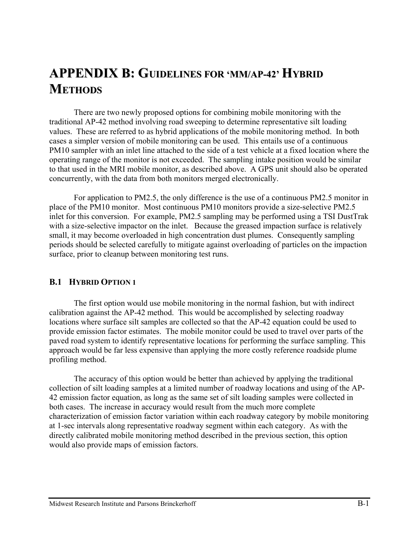# **APPENDIX B: GUIDELINES FOR 'MM/AP-42' HYBRID METHODS**

There are two newly proposed options for combining mobile monitoring with the traditional AP-42 method involving road sweeping to determine representative silt loading values. These are referred to as hybrid applications of the mobile monitoring method. In both cases a simpler version of mobile monitoring can be used. This entails use of a continuous PM10 sampler with an inlet line attached to the side of a test vehicle at a fixed location where the operating range of the monitor is not exceeded. The sampling intake position would be similar to that used in the MRI mobile monitor, as described above. A GPS unit should also be operated concurrently, with the data from both monitors merged electronically.

For application to PM2.5, the only difference is the use of a continuous PM2.5 monitor in place of the PM10 monitor. Most continuous PM10 monitors provide a size-selective PM2.5 inlet for this conversion. For example, PM2.5 sampling may be performed using a TSI DustTrak with a size-selective impactor on the inlet. Because the greased impaction surface is relatively small, it may become overloaded in high concentration dust plumes. Consequently sampling periods should be selected carefully to mitigate against overloading of particles on the impaction surface, prior to cleanup between monitoring test runs.

#### **B.1 HYBRID OPTION 1**

The first option would use mobile monitoring in the normal fashion, but with indirect calibration against the AP-42 method. This would be accomplished by selecting roadway locations where surface silt samples are collected so that the AP-42 equation could be used to provide emission factor estimates. The mobile monitor could be used to travel over parts of the paved road system to identify representative locations for performing the surface sampling. This approach would be far less expensive than applying the more costly reference roadside plume profiling method.

The accuracy of this option would be better than achieved by applying the traditional collection of silt loading samples at a limited number of roadway locations and using of the AP-42 emission factor equation, as long as the same set of silt loading samples were collected in both cases. The increase in accuracy would result from the much more complete characterization of emission factor variation within each roadway category by mobile monitoring at 1-sec intervals along representative roadway segment within each category. As with the directly calibrated mobile monitoring method described in the previous section, this option would also provide maps of emission factors.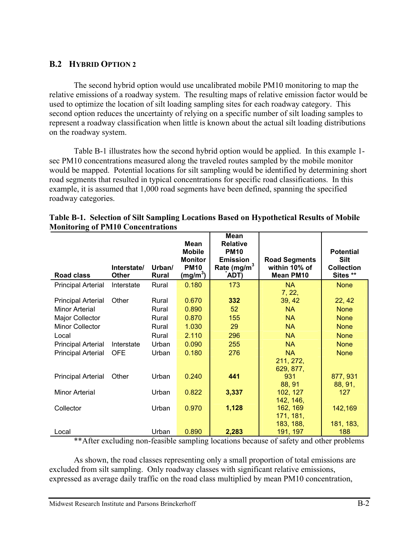### **B.2 HYBRID OPTION 2**

The second hybrid option would use uncalibrated mobile PM10 monitoring to map the relative emissions of a roadway system. The resulting maps of relative emission factor would be used to optimize the location of silt loading sampling sites for each roadway category. This second option reduces the uncertainty of relying on a specific number of silt loading samples to represent a roadway classification when little is known about the actual silt loading distributions on the roadway system.

Table B-1 illustrates how the second hybrid option would be applied. In this example 1 sec PM10 concentrations measured along the traveled routes sampled by the mobile monitor would be mapped. Potential locations for silt sampling would be identified by determining short road segments that resulted in typical concentrations for specific road classifications. In this example, it is assumed that 1,000 road segments have been defined, spanning the specified roadway categories.

| <b>Road class</b>                                                                                                                                           | Interstate/<br><b>Other</b>       | Urban/<br>Rural                                             | <b>Mean</b><br><b>Mobile</b><br><b>Monitor</b><br><b>PM10</b><br>$(mg/m^3)$ | Mean<br><b>Relative</b><br><b>PM10</b><br><b>Emission</b><br>Rate (mg/m <sup>3</sup><br>ADT) | <b>Road Segments</b><br>within 10% of<br><b>Mean PM10</b>                                                   | <b>Potential</b><br><b>Silt</b><br><b>Collection</b><br>Sites **                                 |
|-------------------------------------------------------------------------------------------------------------------------------------------------------------|-----------------------------------|-------------------------------------------------------------|-----------------------------------------------------------------------------|----------------------------------------------------------------------------------------------|-------------------------------------------------------------------------------------------------------------|--------------------------------------------------------------------------------------------------|
| <b>Principal Arterial</b>                                                                                                                                   | Interstate                        | Rural                                                       | 0.180                                                                       | 173                                                                                          | <b>NA</b>                                                                                                   | <b>None</b>                                                                                      |
| <b>Principal Arterial</b><br>Minor Arterial<br>Major Collector<br><b>Minor Collector</b><br>Local<br><b>Principal Arterial</b><br><b>Principal Arterial</b> | Other<br>Interstate<br><b>OFE</b> | Rural<br>Rural<br>Rural<br>Rural<br>Rural<br>Urban<br>Urban | 0.670<br>0.890<br>0.870<br>1.030<br>2.110<br>0.090<br>0.180                 | 332<br>52<br>155<br>29<br>296<br>255<br>276                                                  | 7, 22,<br>39, 42<br><b>NA</b><br><b>NA</b><br><b>NA</b><br><b>NA</b><br><b>NA</b><br><b>NA</b><br>211, 272, | 22, 42<br><b>None</b><br><b>None</b><br><b>None</b><br><b>None</b><br><b>None</b><br><b>None</b> |
| <b>Principal Arterial</b><br><b>Minor Arterial</b>                                                                                                          | Other                             | Urban<br>Urban                                              | 0.240<br>0.822                                                              | 441<br>3,337                                                                                 | 629, 877,<br>931<br>88, 91<br>102, 127                                                                      | 877, 931<br>88, 91,<br>127                                                                       |
| Collector                                                                                                                                                   |                                   | Urban                                                       | 0.970                                                                       | 1,128                                                                                        | 142, 146,<br>162, 169<br>171, 181,<br>183, 188,                                                             | 142,169<br>181, 183,                                                                             |
| Local                                                                                                                                                       |                                   | Urban                                                       | 0.890                                                                       | 2,283                                                                                        | 191, 197                                                                                                    | 188                                                                                              |

|                                          | Table B-1. Selection of Silt Sampling Locations Based on Hypothetical Results of Mobile |
|------------------------------------------|-----------------------------------------------------------------------------------------|
| <b>Monitoring of PM10 Concentrations</b> |                                                                                         |

\*\*After excluding non-feasible sampling locations because of safety and other problems

As shown, the road classes representing only a small proportion of total emissions are excluded from silt sampling. Only roadway classes with significant relative emissions, expressed as average daily traffic on the road class multiplied by mean PM10 concentration,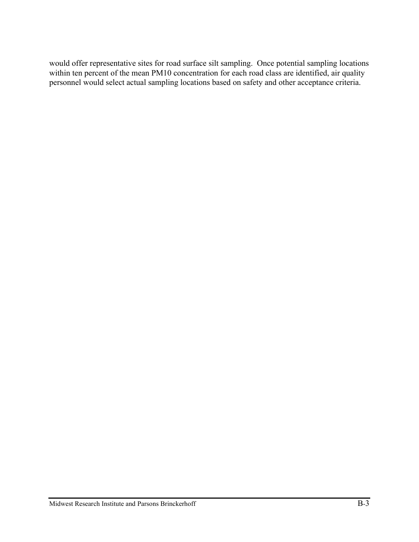would offer representative sites for road surface silt sampling. Once potential sampling locations within ten percent of the mean PM10 concentration for each road class are identified, air quality personnel would select actual sampling locations based on safety and other acceptance criteria.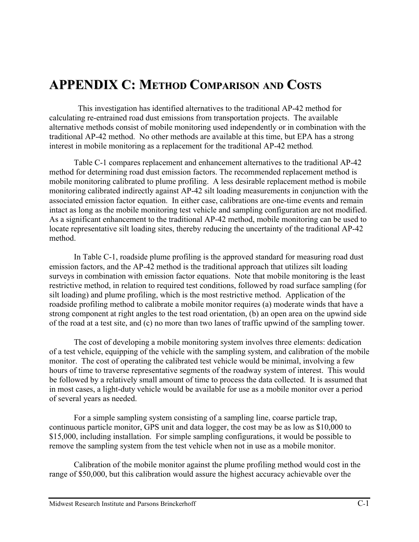# **APPENDIX C: METHOD COMPARISON AND COSTS**

 This investigation has identified alternatives to the traditional AP-42 method for calculating re-entrained road dust emissions from transportation projects. The available alternative methods consist of mobile monitoring used independently or in combination with the traditional AP-42 method. No other methods are available at this time, but EPA has a strong interest in mobile monitoring as a replacement for the traditional AP-42 method.

Table C-1 compares replacement and enhancement alternatives to the traditional AP-42 method for determining road dust emission factors. The recommended replacement method is mobile monitoring calibrated to plume profiling. A less desirable replacement method is mobile monitoring calibrated indirectly against AP-42 silt loading measurements in conjunction with the associated emission factor equation. In either case, calibrations are one-time events and remain intact as long as the mobile monitoring test vehicle and sampling configuration are not modified. As a significant enhancement to the traditional AP-42 method, mobile monitoring can be used to locate representative silt loading sites, thereby reducing the uncertainty of the traditional AP-42 method.

In Table C-1, roadside plume profiling is the approved standard for measuring road dust emission factors, and the AP-42 method is the traditional approach that utilizes silt loading surveys in combination with emission factor equations. Note that mobile monitoring is the least restrictive method, in relation to required test conditions, followed by road surface sampling (for silt loading) and plume profiling, which is the most restrictive method. Application of the roadside profiling method to calibrate a mobile monitor requires (a) moderate winds that have a strong component at right angles to the test road orientation, (b) an open area on the upwind side of the road at a test site, and (c) no more than two lanes of traffic upwind of the sampling tower.

The cost of developing a mobile monitoring system involves three elements: dedication of a test vehicle, equipping of the vehicle with the sampling system, and calibration of the mobile monitor. The cost of operating the calibrated test vehicle would be minimal, involving a few hours of time to traverse representative segments of the roadway system of interest. This would be followed by a relatively small amount of time to process the data collected. It is assumed that in most cases, a light-duty vehicle would be available for use as a mobile monitor over a period of several years as needed.

For a simple sampling system consisting of a sampling line, coarse particle trap, continuous particle monitor, GPS unit and data logger, the cost may be as low as \$10,000 to \$15,000, including installation. For simple sampling configurations, it would be possible to remove the sampling system from the test vehicle when not in use as a mobile monitor.

Calibration of the mobile monitor against the plume profiling method would cost in the range of \$50,000, but this calibration would assure the highest accuracy achievable over the